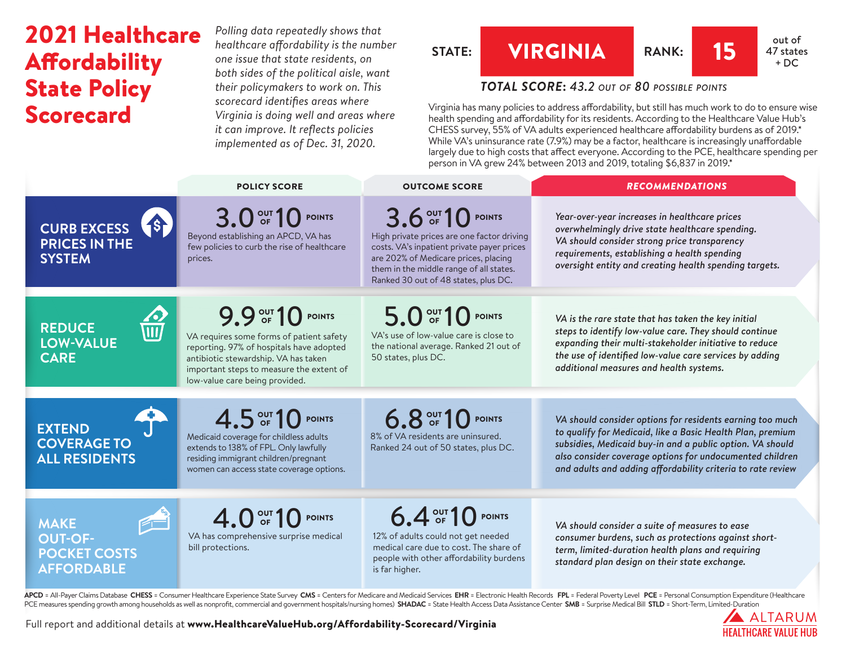# 2021 Healthcare Affordability State Policy Scorecard

*Polling data repeatedly shows that healthcare affordability is the number one issue that state residents, on both sides of the political aisle, want their policymakers to work on. This scorecard identifies areas where Virginia is doing well and areas where it can improve. It reflects policies implemented as of Dec. 31, 2020.* 

STATE: 
$$
\begin{array}{|c|c|c|c|c|}\n\hline\n\text{VIRGINIA} & \text{RANK:} & \textbf{15} & \text{out of 47 state} \\
\hline\n\end{array}
$$

## *TOTAL SCORE***:** *43.2 out of 80 possible points*

Virginia has many policies to address affordability, but still has much work to do to ensure wise health spending and affordability for its residents. According to the Healthcare Value Hub's CHESS survey, 55% of VA adults experienced healthcare affordability burdens as of 2019.\* While VA's uninsurance rate (7.9%) may be a factor, healthcare is increasingly unaffordable largely due to high costs that affect everyone. According to the PCE, healthcare spending per person in VA grew 24% between 2013 and 2019, totaling \$6,837 in 2019.\*

|                                                                                                  | <b>POLICY SCORE</b>                                                                                                                                                                                                            | <b>OUTCOME SCORE</b>                                                                                                                                                                                                                     | <b>RECOMMENDATIONS</b>                                                                                                                                                                                                                                                                                          |
|--------------------------------------------------------------------------------------------------|--------------------------------------------------------------------------------------------------------------------------------------------------------------------------------------------------------------------------------|------------------------------------------------------------------------------------------------------------------------------------------------------------------------------------------------------------------------------------------|-----------------------------------------------------------------------------------------------------------------------------------------------------------------------------------------------------------------------------------------------------------------------------------------------------------------|
| <b>18</b><br><b>CURB EXCESS</b><br><b>PRICES IN THE</b><br><b>SYSTEM</b>                         | 3.0 OF 10 POINTS<br>Beyond establishing an APCD, VA has<br>few policies to curb the rise of healthcare<br>prices.                                                                                                              | 3.6 OUT 10 POINTS<br>High private prices are one factor driving<br>costs. VA's inpatient private payer prices<br>are 202% of Medicare prices, placing<br>them in the middle range of all states.<br>Ranked 30 out of 48 states, plus DC. | Year-over-year increases in healthcare prices<br>overwhelmingly drive state healthcare spending.<br>VA should consider strong price transparency<br>requirements, establishing a health spending<br>oversight entity and creating health spending targets.                                                      |
| <b>REDUCE</b><br>$\overline{\overline{\mathbf{u}}\mathbf{u}}$<br><b>LOW-VALUE</b><br><b>CARE</b> | 9.9 OF 10 POINTS<br>VA requires some forms of patient safety<br>reporting. 97% of hospitals have adopted<br>antibiotic stewardship. VA has taken<br>important steps to measure the extent of<br>low-value care being provided. | 5.0 OF 10 POINTS<br>VA's use of low-value care is close to<br>the national average. Ranked 21 out of<br>50 states, plus DC.                                                                                                              | VA is the rare state that has taken the key initial<br>steps to identify low-value care. They should continue<br>expanding their multi-stakeholder initiative to reduce<br>the use of identified low-value care services by adding<br>additional measures and health systems.                                   |
| <b>EXTEND</b><br><b>COVERAGE TO</b><br><b>ALL RESIDENTS</b>                                      | 4.5 OUT 10 POINTS<br>Medicaid coverage for childless adults<br>extends to 138% of FPL. Only lawfully<br>residing immigrant children/pregnant<br>women can access state coverage options.                                       | 6.8 OUT 10 POINTS<br>8% of VA residents are uninsured.<br>Ranked 24 out of 50 states, plus DC.                                                                                                                                           | VA should consider options for residents earning too much<br>to qualify for Medicaid, like a Basic Health Plan, premium<br>subsidies, Medicaid buy-in and a public option. VA should<br>also consider coverage options for undocumented children<br>and adults and adding affordability criteria to rate review |
| <b>MAKE</b><br><b>OUT-OF-</b><br><b>POCKET COSTS</b><br><b>AFFORDABLE</b>                        | 4.0 <sup>out</sup> 10 <sup>point</sup><br>VA has comprehensive surprise medical<br>bill protections.                                                                                                                           | 6.4 OUT 10 POINTS<br>12% of adults could not get needed<br>medical care due to cost. The share of<br>people with other affordability burdens<br>is far higher.                                                                           | VA should consider a suite of measures to ease<br>consumer burdens, such as protections against short-<br>term, limited-duration health plans and requiring<br>standard plan design on their state exchange.                                                                                                    |

APCD = All-Payer Claims Database CHESS = Consumer Healthcare Experience State Survey CMS = Centers for Medicare and Medicaid Services EHR = Electronic Health Records FPL = Federal Poverty Level PCE = Personal Consumption E PCE measures spending growth among households as well as nonprofit, commercial and government hospitals/nursing homes) SHADAC = State Health Access Data Assistance Center SMB = Surprise Medical Bill STLD = Short-Term, Limi



47 states  $+ DC$ 

Full report and additional details at [www.HealthcareValueHub.org/Affordability-Scorecard/V](https://www.HealthcareValueHub.org/Affordability-Scorecard/Virginia)irginia